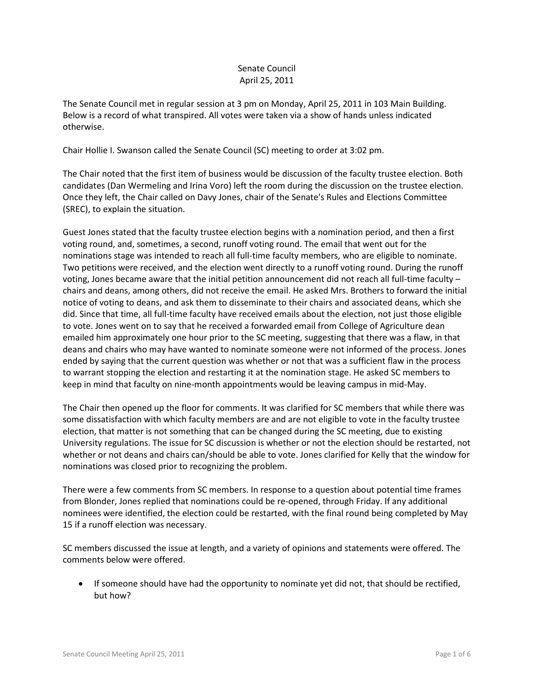# Senate Council April 25, 2011

The Senate Council met in regular session at 3 pm on Monday, April 25, 2011 in 103 Main Building. Below is a record of what transpired. All votes were taken via a show of hands unless indicated otherwise.

Chair Hollie I. Swanson called the Senate Council (SC) meeting to order at 3:02 pm.

The Chair noted that the first item of business would be discussion of the faculty trustee election. Both candidates (Dan Wermeling and Irina Voro) left the room during the discussion on the trustee election. Once they left, the Chair called on Davy Jones, chair of the Senate's Rules and Elections Committee (SREC), to explain the situation.

Guest Jones stated that the faculty trustee election begins with a nomination period, and then a first voting round, and, sometimes, a second, runoff voting round. The email that went out for the nominations stage was intended to reach all full-time faculty members, who are eligible to nominate. Two petitions were received, and the election went directly to a runoff voting round. During the runoff voting, Jones became aware that the initial petition announcement did not reach all full-time faculty – chairs and deans, among others, did not receive the email. He asked Mrs. Brothers to forward the initial notice of voting to deans, and ask them to disseminate to their chairs and associated deans, which she did. Since that time, all full-time faculty have received emails about the election, not just those eligible to vote. Jones went on to say that he received a forwarded email from College of Agriculture dean emailed him approximately one hour prior to the SC meeting, suggesting that there was a flaw, in that deans and chairs who may have wanted to nominate someone were not informed of the process. Jones ended by saying that the current question was whether or not that was a sufficient flaw in the process to warrant stopping the election and restarting it at the nomination stage. He asked SC members to keep in mind that faculty on nine-month appointments would be leaving campus in mid-May.

The Chair then opened up the floor for comments. It was clarified for SC members that while there was some dissatisfaction with which faculty members are and are not eligible to vote in the faculty trustee election, that matter is not something that can be changed during the SC meeting, due to existing University regulations. The issue for SC discussion is whether or not the election should be restarted, not whether or not deans and chairs can/should be able to vote. Jones clarified for Kelly that the window for nominations was closed prior to recognizing the problem.

There were a few comments from SC members. In response to a question about potential time frames from Blonder, Jones replied that nominations could be re-opened, through Friday. If any additional nominees were identified, the election could be restarted, with the final round being completed by May 15 if a runoff election was necessary.

SC members discussed the issue at length, and a variety of opinions and statements were offered. The comments below were offered.

• If someone should have had the opportunity to nominate yet did not, that should be rectified, but how?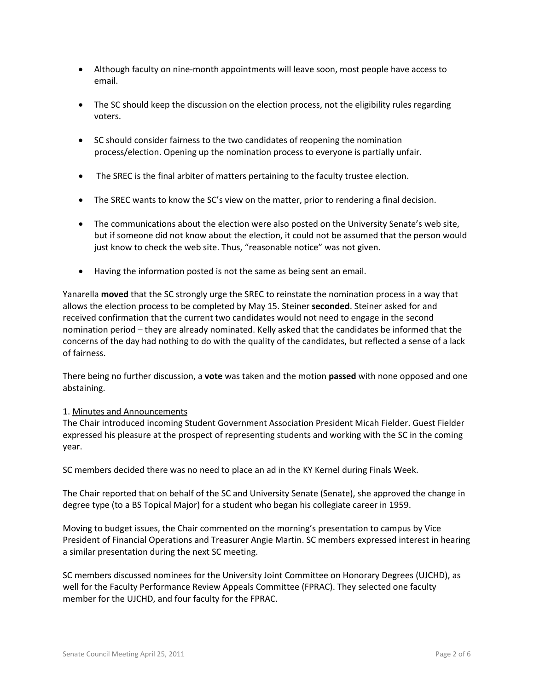- Although faculty on nine-month appointments will leave soon, most people have access to email.
- The SC should keep the discussion on the election process, not the eligibility rules regarding voters.
- SC should consider fairness to the two candidates of reopening the nomination process/election. Opening up the nomination process to everyone is partially unfair.
- The SREC is the final arbiter of matters pertaining to the faculty trustee election.
- The SREC wants to know the SC's view on the matter, prior to rendering a final decision.
- The communications about the election were also posted on the University Senate's web site, but if someone did not know about the election, it could not be assumed that the person would just know to check the web site. Thus, "reasonable notice" was not given.
- Having the information posted is not the same as being sent an email.

Yanarella **moved** that the SC strongly urge the SREC to reinstate the nomination process in a way that allows the election process to be completed by May 15. Steiner **seconded**. Steiner asked for and received confirmation that the current two candidates would not need to engage in the second nomination period – they are already nominated. Kelly asked that the candidates be informed that the concerns of the day had nothing to do with the quality of the candidates, but reflected a sense of a lack of fairness.

There being no further discussion, a **vote** was taken and the motion **passed** with none opposed and one abstaining.

## 1. Minutes and Announcements

The Chair introduced incoming Student Government Association President Micah Fielder. Guest Fielder expressed his pleasure at the prospect of representing students and working with the SC in the coming year.

SC members decided there was no need to place an ad in the KY Kernel during Finals Week.

The Chair reported that on behalf of the SC and University Senate (Senate), she approved the change in degree type (to a BS Topical Major) for a student who began his collegiate career in 1959.

Moving to budget issues, the Chair commented on the morning's presentation to campus by Vice President of Financial Operations and Treasurer Angie Martin. SC members expressed interest in hearing a similar presentation during the next SC meeting.

SC members discussed nominees for the University Joint Committee on Honorary Degrees (UJCHD), as well for the Faculty Performance Review Appeals Committee (FPRAC). They selected one faculty member for the UJCHD, and four faculty for the FPRAC.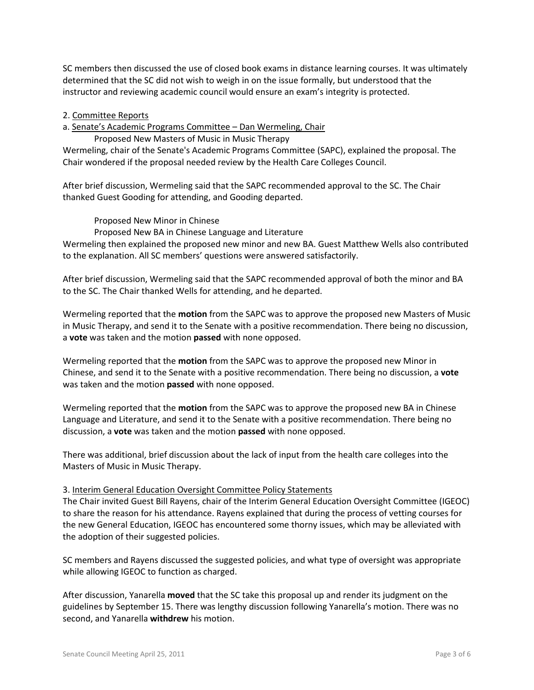SC members then discussed the use of closed book exams in distance learning courses. It was ultimately determined that the SC did not wish to weigh in on the issue formally, but understood that the instructor and reviewing academic council would ensure an exam's integrity is protected.

#### 2. Committee Reports

a. Senate's Academic Programs Committee – Dan Wermeling, Chair

Proposed New Masters of Music in Music Therapy

Wermeling, chair of the Senate's Academic Programs Committee (SAPC), explained the proposal. The Chair wondered if the proposal needed review by the Health Care Colleges Council.

After brief discussion, Wermeling said that the SAPC recommended approval to the SC. The Chair thanked Guest Gooding for attending, and Gooding departed.

Proposed New Minor in Chinese

Proposed New BA in Chinese Language and Literature

Wermeling then explained the proposed new minor and new BA. Guest Matthew Wells also contributed to the explanation. All SC members' questions were answered satisfactorily.

After brief discussion, Wermeling said that the SAPC recommended approval of both the minor and BA to the SC. The Chair thanked Wells for attending, and he departed.

Wermeling reported that the **motion** from the SAPC was to approve the proposed new Masters of Music in Music Therapy, and send it to the Senate with a positive recommendation. There being no discussion, a **vote** was taken and the motion **passed** with none opposed.

Wermeling reported that the **motion** from the SAPC was to approve the proposed new Minor in Chinese, and send it to the Senate with a positive recommendation. There being no discussion, a **vote** was taken and the motion **passed** with none opposed.

Wermeling reported that the **motion** from the SAPC was to approve the proposed new BA in Chinese Language and Literature, and send it to the Senate with a positive recommendation. There being no discussion, a **vote** was taken and the motion **passed** with none opposed.

There was additional, brief discussion about the lack of input from the health care colleges into the Masters of Music in Music Therapy.

#### 3. Interim General Education Oversight Committee Policy Statements

The Chair invited Guest Bill Rayens, chair of the Interim General Education Oversight Committee (IGEOC) to share the reason for his attendance. Rayens explained that during the process of vetting courses for the new General Education, IGEOC has encountered some thorny issues, which may be alleviated with the adoption of their suggested policies.

SC members and Rayens discussed the suggested policies, and what type of oversight was appropriate while allowing IGEOC to function as charged.

After discussion, Yanarella **moved** that the SC take this proposal up and render its judgment on the guidelines by September 15. There was lengthy discussion following Yanarella's motion. There was no second, and Yanarella **withdrew** his motion.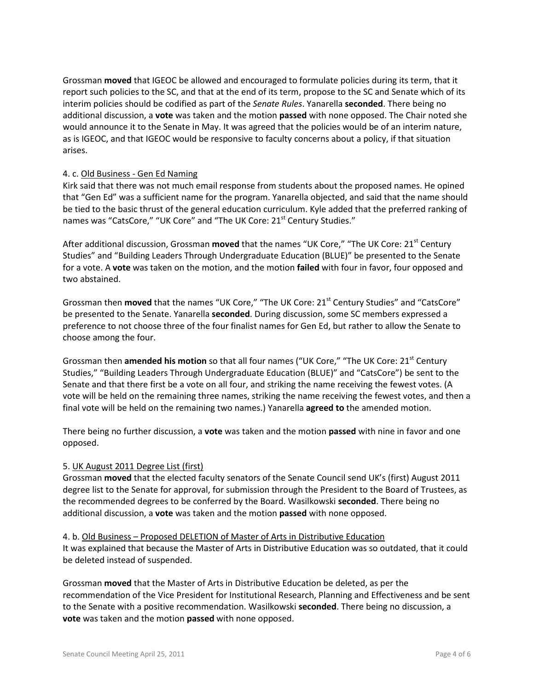Grossman **moved** that IGEOC be allowed and encouraged to formulate policies during its term, that it report such policies to the SC, and that at the end of its term, propose to the SC and Senate which of its interim policies should be codified as part of the *Senate Rules*. Yanarella **seconded**. There being no additional discussion, a **vote** was taken and the motion **passed** with none opposed. The Chair noted she would announce it to the Senate in May. It was agreed that the policies would be of an interim nature, as is IGEOC, and that IGEOC would be responsive to faculty concerns about a policy, if that situation arises.

## 4. c. Old Business - Gen Ed Naming

Kirk said that there was not much email response from students about the proposed names. He opined that "Gen Ed" was a sufficient name for the program. Yanarella objected, and said that the name should be tied to the basic thrust of the general education curriculum. Kyle added that the preferred ranking of names was "CatsCore," "UK Core" and "The UK Core: 21<sup>st</sup> Century Studies."

After additional discussion, Grossman **moved** that the names "UK Core," "The UK Core: 21<sup>st</sup> Century Studies" and "Building Leaders Through Undergraduate Education (BLUE)" be presented to the Senate for a vote. A **vote** was taken on the motion, and the motion **failed** with four in favor, four opposed and two abstained.

Grossman then **moved** that the names "UK Core," "The UK Core: 21<sup>st</sup> Century Studies" and "CatsCore" be presented to the Senate. Yanarella **seconded**. During discussion, some SC members expressed a preference to not choose three of the four finalist names for Gen Ed, but rather to allow the Senate to choose among the four.

Grossman then **amended his motion** so that all four names ("UK Core," "The UK Core: 21<sup>st</sup> Century Studies," "Building Leaders Through Undergraduate Education (BLUE)" and "CatsCore") be sent to the Senate and that there first be a vote on all four, and striking the name receiving the fewest votes. (A vote will be held on the remaining three names, striking the name receiving the fewest votes, and then a final vote will be held on the remaining two names.) Yanarella **agreed to** the amended motion.

There being no further discussion, a **vote** was taken and the motion **passed** with nine in favor and one opposed.

## 5. UK August 2011 Degree List (first)

Grossman **moved** that the elected faculty senators of the Senate Council send UK's (first) August 2011 degree list to the Senate for approval, for submission through the President to the Board of Trustees, as the recommended degrees to be conferred by the Board. Wasilkowski **seconded**. There being no additional discussion, a **vote** was taken and the motion **passed** with none opposed.

4. b. Old Business – Proposed DELETION of Master of Arts in Distributive Education It was explained that because the Master of Arts in Distributive Education was so outdated, that it could be deleted instead of suspended.

Grossman **moved** that the Master of Arts in Distributive Education be deleted, as per the recommendation of the Vice President for Institutional Research, Planning and Effectiveness and be sent to the Senate with a positive recommendation. Wasilkowski **seconded**. There being no discussion, a **vote** was taken and the motion **passed** with none opposed.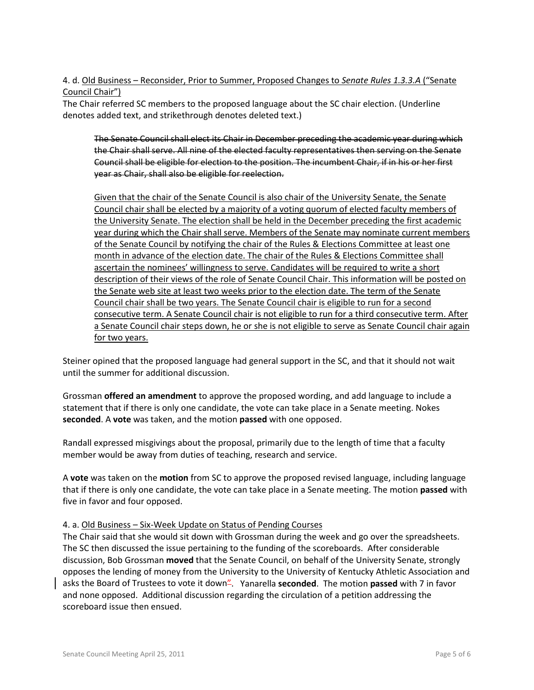## 4. d. Old Business – Reconsider, Prior to Summer, Proposed Changes to *Senate Rules 1.3.3.A* ("Senate Council Chair")

The Chair referred SC members to the proposed language about the SC chair election. (Underline denotes added text, and strikethrough denotes deleted text.)

The Senate Council shall elect its Chair in December preceding the academic year during which the Chair shall serve. All nine of the elected faculty representatives then serving on the Senate Council shall be eligible for election to the position. The incumbent Chair, if in his or her first year as Chair, shall also be eligible for reelection.

Given that the chair of the Senate Council is also chair of the University Senate, the Senate Council chair shall be elected by a majority of a voting quorum of elected faculty members of the University Senate. The election shall be held in the December preceding the first academic year during which the Chair shall serve. Members of the Senate may nominate current members of the Senate Council by notifying the chair of the Rules & Elections Committee at least one month in advance of the election date. The chair of the Rules & Elections Committee shall ascertain the nominees' willingness to serve. Candidates will be required to write a short description of their views of the role of Senate Council Chair. This information will be posted on the Senate web site at least two weeks prior to the election date. The term of the Senate Council chair shall be two years. The Senate Council chair is eligible to run for a second consecutive term. A Senate Council chair is not eligible to run for a third consecutive term. After a Senate Council chair steps down, he or she is not eligible to serve as Senate Council chair again for two years.

Steiner opined that the proposed language had general support in the SC, and that it should not wait until the summer for additional discussion.

Grossman **offered an amendment** to approve the proposed wording, and add language to include a statement that if there is only one candidate, the vote can take place in a Senate meeting. Nokes **seconded**. A **vote** was taken, and the motion **passed** with one opposed.

Randall expressed misgivings about the proposal, primarily due to the length of time that a faculty member would be away from duties of teaching, research and service.

A **vote** was taken on the **motion** from SC to approve the proposed revised language, including language that if there is only one candidate, the vote can take place in a Senate meeting. The motion **passed** with five in favor and four opposed.

## 4. a. Old Business – Six-Week Update on Status of Pending Courses

The Chair said that she would sit down with Grossman during the week and go over the spreadsheets. The SC then discussed the issue pertaining to the funding of the scoreboards. After considerable discussion, Bob Grossman **moved** that the Senate Council, on behalf of the University Senate, strongly opposes the lending of money from the University to the University of Kentucky Athletic Association and asks the Board of Trustees to vote it down". Yanarella **seconded**. The motion **passed** with 7 in favor and none opposed. Additional discussion regarding the circulation of a petition addressing the scoreboard issue then ensued.